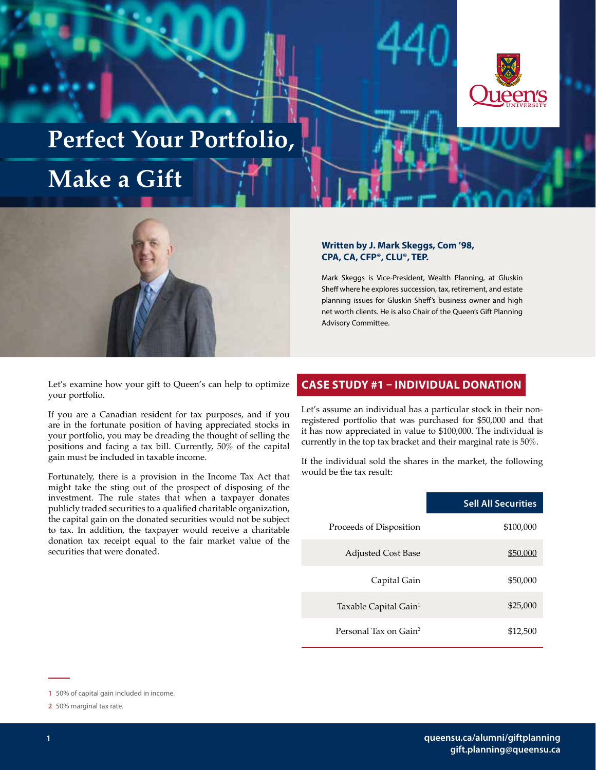

# **Perfect Your Portfolio,**

## **Make a Gift**



Let's examine how your gift to Queen's can help to optimize your portfolio.

If you are a Canadian resident for tax purposes, and if you are in the fortunate position of having appreciated stocks in your portfolio, you may be dreading the thought of selling the positions and facing a tax bill. Currently, 50% of the capital gain must be included in taxable income.

Fortunately, there is a provision in the Income Tax Act that might take the sting out of the prospect of disposing of the investment. The rule states that when a taxpayer donates publicly traded securities to a qualified charitable organization, the capital gain on the donated securities would not be subject to tax. In addition, the taxpayer would receive a charitable donation tax receipt equal to the fair market value of the securities that were donated.

#### **Written by J. Mark Skeggs, Com '98, CPA, CA, CFP®, CLU®, TEP.**

Mark Skeggs is Vice-President, Wealth Planning, at Gluskin Sheff where he explores succession, tax, retirement, and estate planning issues for Gluskin Sheff's business owner and high net worth clients. He is also Chair of the Queen's Gift Planning Advisory Committee.

#### **CASE STUDY #1 – INDIVIDUAL DONATION**

Let's assume an individual has a particular stock in their nonregistered portfolio that was purchased for \$50,000 and that it has now appreciated in value to \$100,000. The individual is currently in the top tax bracket and their marginal rate is 50%.

If the individual sold the shares in the market, the following would be the tax result:

|                                   | <b>Sell All Securities</b> |
|-----------------------------------|----------------------------|
| Proceeds of Disposition           | \$100,000                  |
| <b>Adjusted Cost Base</b>         | \$50,000                   |
| Capital Gain                      | \$50,000                   |
| Taxable Capital Gain <sup>1</sup> | \$25,000                   |
| Personal Tax on Gain <sup>2</sup> | \$12,500                   |

**<sup>1</sup>** 50% of capital gain included in income.

**<sup>2</sup>** 50% marginal tax rate.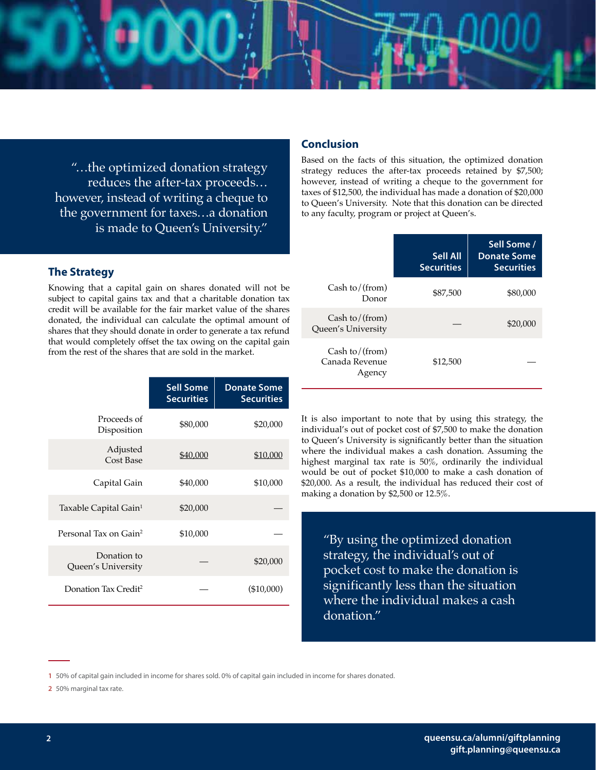"…the optimized donation strategy reduces the after-tax proceeds… however, instead of writing a cheque to the government for taxes…a donation is made to Queen's University."

#### **The Strategy**

Knowing that a capital gain on shares donated will not be subject to capital gains tax and that a charitable donation tax credit will be available for the fair market value of the shares donated, the individual can calculate the optimal amount of shares that they should donate in order to generate a tax refund that would completely offset the tax owing on the capital gain from the rest of the shares that are sold in the market.

|                                   | <b>Sell Some</b><br><b>Securities</b> | <b>Donate Some</b><br><b>Securities</b> |
|-----------------------------------|---------------------------------------|-----------------------------------------|
| Proceeds of<br>Disposition        | \$80,000                              | \$20,000                                |
| Adjusted<br><b>Cost Base</b>      | \$40,000                              | \$10,000                                |
| Capital Gain                      | \$40,000                              | \$10,000                                |
| Taxable Capital Gain <sup>1</sup> | \$20,000                              |                                         |
| Personal Tax on Gain <sup>2</sup> | \$10,000                              |                                         |
| Donation to<br>Queen's University |                                       | \$20,000                                |
| Donation Tax Credit <sup>2</sup>  |                                       | (\$10,000)                              |

#### **Conclusion**

Based on the facts of this situation, the optimized donation strategy reduces the after-tax proceeds retained by \$7,500; however, instead of writing a cheque to the government for taxes of \$12,500, the individual has made a donation of \$20,000 to Queen's University. Note that this donation can be directed to any faculty, program or project at Queen's.

|                                                | <b>Sell All</b><br><b>Securities</b> | Sell Some /<br><b>Donate Some</b><br><b>Securities</b> |
|------------------------------------------------|--------------------------------------|--------------------------------------------------------|
| Cash to/ $(from)$<br>Donor                     | \$87,500                             | \$80,000                                               |
| Cash to $/$ (from)<br>Queen's University       |                                      | \$20,000                                               |
| Cash to $/$ (from)<br>Canada Revenue<br>Agency | \$12,500                             |                                                        |

It is also important to note that by using this strategy, the individual's out of pocket cost of \$7,500 to make the donation to Queen's University is significantly better than the situation where the individual makes a cash donation. Assuming the highest marginal tax rate is 50%, ordinarily the individual would be out of pocket \$10,000 to make a cash donation of \$20,000. As a result, the individual has reduced their cost of making a donation by \$2,500 or 12.5%.

"By using the optimized donation strategy, the individual's out of pocket cost to make the donation is significantly less than the situation where the individual makes a cash donation."

**<sup>1</sup>** 50% of capital gain included in income for shares sold. 0% of capital gain included in income for shares donated.

**<sup>2</sup>** 50% marginal tax rate.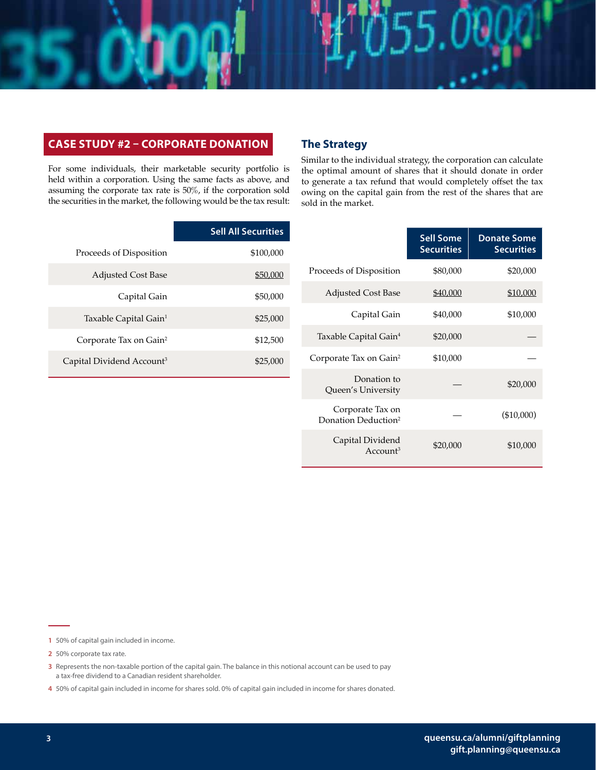#### **CASE STUDY #2 – CORPORATE DONATION**

For some individuals, their marketable security portfolio is held within a corporation. Using the same facts as above, and assuming the corporate tax rate is 50%, if the corporation sold the securities in the market, the following would be the tax result:

| <b>The Strategy</b> |  |
|---------------------|--|
|---------------------|--|

Similar to the individual strategy, the corporation can calculate the optimal amount of shares that it should donate in order to generate a tax refund that would completely offset the tax owing on the capital gain from the rest of the shares that are sold in the market.

|                                       | <b>Sell All Securities</b> |
|---------------------------------------|----------------------------|
| Proceeds of Disposition               | \$100,000                  |
| <b>Adjusted Cost Base</b>             | \$50,000                   |
| Capital Gain                          | \$50,000                   |
| Taxable Capital Gain <sup>1</sup>     | \$25,000                   |
| Corporate Tax on Gain <sup>2</sup>    | \$12,500                   |
| Capital Dividend Account <sup>3</sup> | \$25,000                   |

|                                                     | <b>Sell Some</b><br><b>Securities</b> | <b>Donate Some</b><br><b>Securities</b> |
|-----------------------------------------------------|---------------------------------------|-----------------------------------------|
| Proceeds of Disposition                             | \$80,000                              | \$20,000                                |
| <b>Adjusted Cost Base</b>                           | \$40,000                              | \$10,000                                |
| Capital Gain                                        | \$40,000                              | \$10,000                                |
| Taxable Capital Gain <sup>4</sup>                   | \$20,000                              |                                         |
| Corporate Tax on Gain <sup>2</sup>                  | \$10,000                              |                                         |
| Donation to<br>Queen's University                   |                                       | \$20,000                                |
| Corporate Tax on<br>Donation Deduction <sup>2</sup> |                                       | $(\$10,000)$                            |
| Capital Dividend<br>Accoun <sup>3</sup>             | \$20,000                              | \$10,000                                |

**<sup>1</sup>** 50% of capital gain included in income.

**<sup>2</sup>** 50% corporate tax rate.

**<sup>3</sup>** Represents the non-taxable portion of the capital gain. The balance in this notional account can be used to pay a tax-free dividend to a Canadian resident shareholder.

**<sup>4</sup>** 50% of capital gain included in income for shares sold. 0% of capital gain included in income for shares donated.